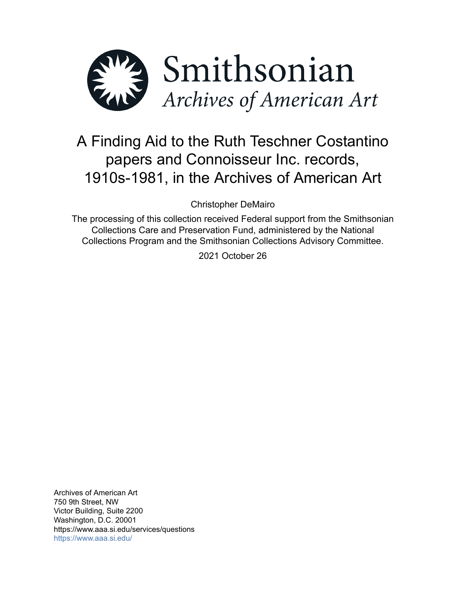

# A Finding Aid to the Ruth Teschner Costantino papers and Connoisseur Inc. records, 1910s-1981, in the Archives of American Art

Christopher DeMairo

The processing of this collection received Federal support from the Smithsonian Collections Care and Preservation Fund, administered by the National Collections Program and the Smithsonian Collections Advisory Committee.

2021 October 26

Archives of American Art 750 9th Street, NW Victor Building, Suite 2200 Washington, D.C. 20001 https://www.aaa.si.edu/services/questions <https://www.aaa.si.edu/>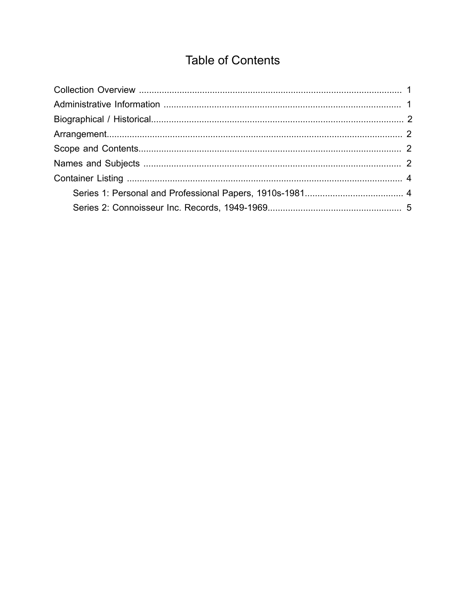## **Table of Contents**

<span id="page-1-0"></span>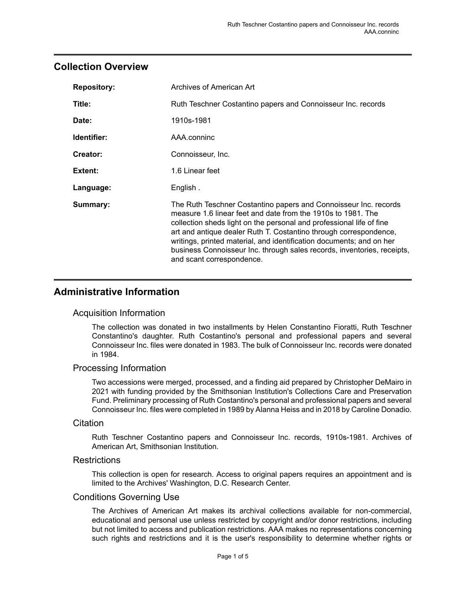## <span id="page-2-0"></span>**Collection Overview**

| <b>Repository:</b> | Archives of American Art                                                                                                                                                                                                                                                                                                                                                                                                                                      |
|--------------------|---------------------------------------------------------------------------------------------------------------------------------------------------------------------------------------------------------------------------------------------------------------------------------------------------------------------------------------------------------------------------------------------------------------------------------------------------------------|
| Title:             | Ruth Teschner Costantino papers and Connoisseur Inc. records                                                                                                                                                                                                                                                                                                                                                                                                  |
| Date:              | 1910s-1981                                                                                                                                                                                                                                                                                                                                                                                                                                                    |
| Identifier:        | AAA.conninc                                                                                                                                                                                                                                                                                                                                                                                                                                                   |
| Creator:           | Connoisseur, Inc.                                                                                                                                                                                                                                                                                                                                                                                                                                             |
| Extent:            | 1.6 Linear feet                                                                                                                                                                                                                                                                                                                                                                                                                                               |
| Language:          | English.                                                                                                                                                                                                                                                                                                                                                                                                                                                      |
| Summary:           | The Ruth Teschner Costantino papers and Connoisseur Inc. records<br>measure 1.6 linear feet and date from the 1910s to 1981. The<br>collection sheds light on the personal and professional life of fine<br>art and antique dealer Ruth T. Costantino through correspondence,<br>writings, printed material, and identification documents; and on her<br>business Connoisseur Inc. through sales records, inventories, receipts,<br>and scant correspondence. |

## <span id="page-2-1"></span>**Administrative Information**

#### Acquisition Information

The collection was donated in two installments by Helen Constantino Fioratti, Ruth Teschner Constantino's daughter. Ruth Costantino's personal and professional papers and several Connoisseur Inc. files were donated in 1983. The bulk of Connoisseur Inc. records were donated in 1984.

#### Processing Information

Two accessions were merged, processed, and a finding aid prepared by Christopher DeMairo in 2021 with funding provided by the Smithsonian Institution's Collections Care and Preservation Fund. Preliminary processing of Ruth Costantino's personal and professional papers and several Connoisseur Inc. files were completed in 1989 by Alanna Heiss and in 2018 by Caroline Donadio.

#### **Citation**

Ruth Teschner Costantino papers and Connoisseur Inc. records, 1910s-1981. Archives of American Art, Smithsonian Institution.

#### **Restrictions**

This collection is open for research. Access to original papers requires an appointment and is limited to the Archives' Washington, D.C. Research Center.

#### Conditions Governing Use

The Archives of American Art makes its archival collections available for non-commercial, educational and personal use unless restricted by copyright and/or donor restrictions, including but not limited to access and publication restrictions. AAA makes no representations concerning such rights and restrictions and it is the user's responsibility to determine whether rights or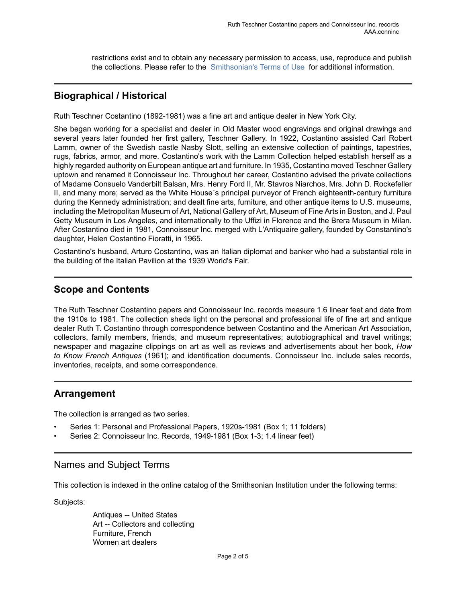restrictions exist and to obtain any necessary permission to access, use, reproduce and publish the collections. Please refer to the [Smithsonian's](https://www.si.edu/termsofuse) Terms of Use for additional information.

## <span id="page-3-0"></span>**Biographical / Historical**

Ruth Teschner Costantino (1892-1981) was a fine art and antique dealer in New York City.

She began working for a specialist and dealer in Old Master wood engravings and original drawings and several years later founded her first gallery, Teschner Gallery. In 1922, Costantino assisted Carl Robert Lamm, owner of the Swedish castle Nasby Slott, selling an extensive collection of paintings, tapestries, rugs, fabrics, armor, and more. Costantino's work with the Lamm Collection helped establish herself as a highly regarded authority on European antique art and furniture. In 1935, Costantino moved Teschner Gallery uptown and renamed it Connoisseur Inc. Throughout her career, Costantino advised the private collections of Madame Consuelo Vanderbilt Balsan, Mrs. Henry Ford II, Mr. Stavros Niarchos, Mrs. John D. Rockefeller II, and many more; served as the White House´s principal purveyor of French eighteenth-century furniture during the Kennedy administration; and dealt fine arts, furniture, and other antique items to U.S. museums, including the Metropolitan Museum of Art, National Gallery of Art, Museum of Fine Arts in Boston, and J. Paul Getty Museum in Los Angeles, and internationally to the Uffizi in Florence and the Brera Museum in Milan. After Costantino died in 1981, Connoisseur Inc. merged with L'Antiquaire gallery, founded by Constantino's daughter, Helen Costantino Fioratti, in 1965.

Costantino's husband, Arturo Costantino, was an Italian diplomat and banker who had a substantial role in the building of the Italian Pavilion at the 1939 World's Fair.

## <span id="page-3-2"></span>**Scope and Contents**

The Ruth Teschner Costantino papers and Connoisseur Inc. records measure 1.6 linear feet and date from the 1910s to 1981. The collection sheds light on the personal and professional life of fine art and antique dealer Ruth T. Costantino through correspondence between Costantino and the American Art Association, collectors, family members, friends, and museum representatives; autobiographical and travel writings; newspaper and magazine clippings on art as well as reviews and advertisements about her book, *How to Know French Antiques* (1961); and identification documents. Connoisseur Inc. include sales records, inventories, receipts, and some correspondence.

### <span id="page-3-1"></span>**Arrangement**

The collection is arranged as two series.

- Series 1: Personal and Professional Papers, 1920s-1981 (Box 1; 11 folders)
- Series 2: Connoisseur Inc. Records, 1949-1981 (Box 1-3; 1.4 linear feet)

### <span id="page-3-3"></span>Names and Subject Terms

This collection is indexed in the online catalog of the Smithsonian Institution under the following terms:

Subjects:

Antiques -- United States Art -- Collectors and collecting Furniture, French Women art dealers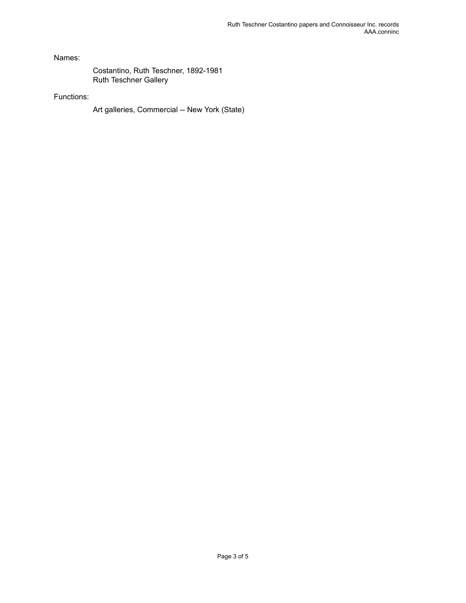Names:

Costantino, Ruth Teschner, 1892-1981 Ruth Teschner Gallery

#### Functions:

Art galleries, Commercial -- New York (State)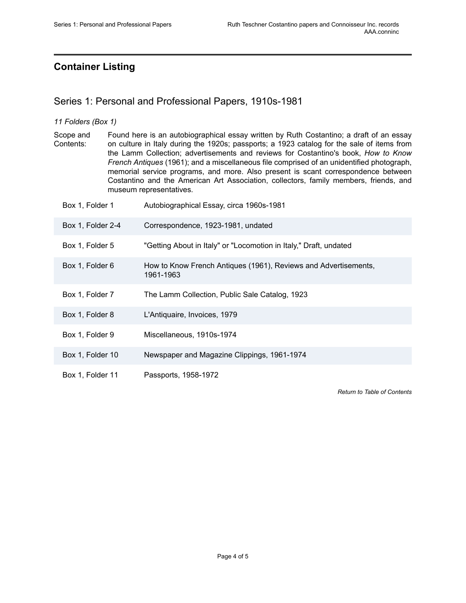## <span id="page-5-0"></span>**Container Listing**

## <span id="page-5-1"></span>Series 1: Personal and Professional Papers, 1910s-1981

#### *11 Folders (Box 1)*

Scope and Contents: Found here is an autobiographical essay written by Ruth Costantino; a draft of an essay on culture in Italy during the 1920s; passports; a 1923 catalog for the sale of items from the Lamm Collection; advertisements and reviews for Costantino's book, *How to Know French Antiques* (1961); and a miscellaneous file comprised of an unidentified photograph, memorial service programs, and more. Also present is scant correspondence between Costantino and the American Art Association, collectors, family members, friends, and museum representatives.

| Box 1, Folder 1   | Autobiographical Essay, circa 1960s-1981                                     |
|-------------------|------------------------------------------------------------------------------|
| Box 1, Folder 2-4 | Correspondence, 1923-1981, undated                                           |
| Box 1, Folder 5   | "Getting About in Italy" or "Locomotion in Italy," Draft, undated            |
| Box 1, Folder 6   | How to Know French Antiques (1961), Reviews and Advertisements,<br>1961-1963 |
| Box 1, Folder 7   | The Lamm Collection, Public Sale Catalog, 1923                               |
| Box 1, Folder 8   | L'Antiquaire, Invoices, 1979                                                 |
| Box 1, Folder 9   | Miscellaneous, 1910s-1974                                                    |
| Box 1, Folder 10  | Newspaper and Magazine Clippings, 1961-1974                                  |
| Box 1, Folder 11  | Passports, 1958-1972                                                         |

*Return to Table of [Contents](#page-1-0)*